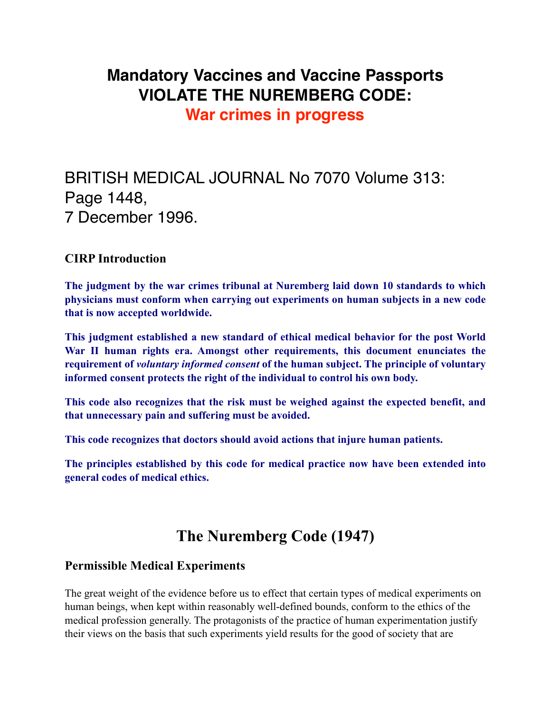### **Mandatory Vaccines and Vaccine Passports VIOLATE THE NUREMBERG CODE:**

**War crimes in progress**

# BRITISH MEDICAL JOURNAL No 7070 Volume 313: Page 1448, 7 December 1996.

#### **CIRP Introduction**

**The judgment by the war crimes tribunal at Nuremberg laid down 10 standards to which physicians must conform when carrying out experiments on human subjects in a new code that is now accepted worldwide.** 

**This judgment established a new standard of ethical medical behavior for the post World War II human rights era. Amongst other requirements, this document enunciates the requirement of** *voluntary informed consent* **of the human subject. The principle of voluntary informed consent protects the right of the individual to control his own body.** 

**This code also recognizes that the risk must be weighed against the expected benefit, and that unnecessary pain and suffering must be avoided.** 

**This code recognizes that doctors should avoid actions that injure human patients.** 

**The principles established by this code for medical practice now have been extended into general codes of medical ethics.** 

## **The Nuremberg Code (1947)**

#### **Permissible Medical Experiments**

The great weight of the evidence before us to effect that certain types of medical experiments on human beings, when kept within reasonably well-defined bounds, conform to the ethics of the medical profession generally. The protagonists of the practice of human experimentation justify their views on the basis that such experiments yield results for the good of society that are